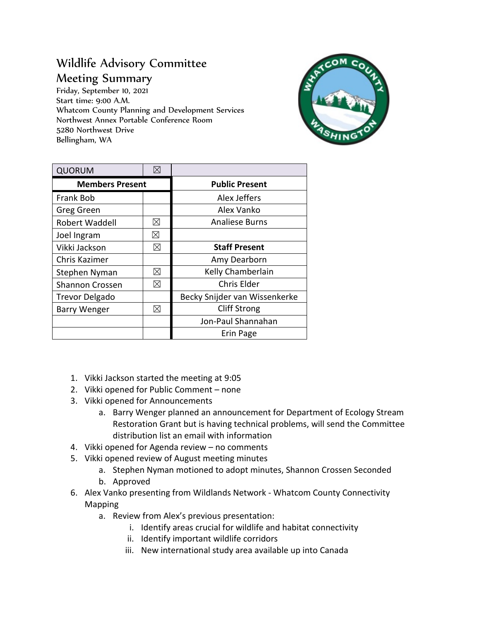## Wildlife Advisory Committee Meeting Summary

Friday, September 10, 2021 Start time: 9:00 A.M. Whatcom County Planning and Development Services Northwest Annex Portable Conference Room 5280 Northwest Drive Bellingham, WA



| <b>QUORUM</b>          |             |                               |
|------------------------|-------------|-------------------------------|
| <b>Members Present</b> |             | <b>Public Present</b>         |
| Frank Bob              |             | Alex Jeffers                  |
| Greg Green             |             | Alex Vanko                    |
| Robert Waddell         | ⊠           | <b>Analiese Burns</b>         |
| Joel Ingram            | ⊠           |                               |
| Vikki Jackson          | ⊠           | <b>Staff Present</b>          |
| Chris Kazimer          |             | Amy Dearborn                  |
| Stephen Nyman          | ⊠           | Kelly Chamberlain             |
| <b>Shannon Crossen</b> | ⊠           | <b>Chris Elder</b>            |
| <b>Trevor Delgado</b>  |             | Becky Snijder van Wissenkerke |
| <b>Barry Wenger</b>    | $\boxtimes$ | <b>Cliff Strong</b>           |
|                        |             | Jon-Paul Shannahan            |
|                        |             | Erin Page                     |

- 1. Vikki Jackson started the meeting at 9:05
- 2. Vikki opened for Public Comment none
- 3. Vikki opened for Announcements
	- a. Barry Wenger planned an announcement for Department of Ecology Stream Restoration Grant but is having technical problems, will send the Committee distribution list an email with information
- 4. Vikki opened for Agenda review no comments
- 5. Vikki opened review of August meeting minutes
	- a. Stephen Nyman motioned to adopt minutes, Shannon Crossen Seconded
	- b. Approved
- 6. Alex Vanko presenting from Wildlands Network Whatcom County Connectivity Mapping
	- a. Review from Alex's previous presentation:
		- i. Identify areas crucial for wildlife and habitat connectivity
		- ii. Identify important wildlife corridors
		- iii. New international study area available up into Canada